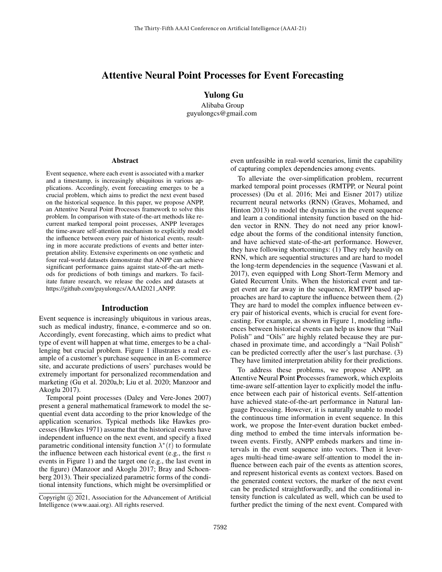# Attentive Neural Point Processes for Event Forecasting

Yulong Gu

Alibaba Group guyulongcs@gmail.com

#### Abstract

Event sequence, where each event is associated with a marker and a timestamp, is increasingly ubiquitous in various applications. Accordingly, event forecasting emerges to be a crucial problem, which aims to predict the next event based on the historical sequence. In this paper, we propose ANPP, an Attentive Neural Point Processes framework to solve this problem. In comparison with state-of-the-art methods like recurrent marked temporal point processes, ANPP leverages the time-aware self-attention mechanism to explicitly model the influence between every pair of historical events, resulting in more accurate predictions of events and better interpretation ability. Extensive experiments on one synthetic and four real-world datasets demonstrate that ANPP can achieve significant performance gains against state-of-the-art methods for predictions of both timings and markers. To facilitate future research, we release the codes and datasets at https://github.com/guyulongcs/AAAI2021\_ANPP.

#### Introduction

Event sequence is increasingly ubiquitous in various areas, such as medical industry, finance, e-commerce and so on. Accordingly, event forecasting, which aims to predict what type of event will happen at what time, emerges to be a challenging but crucial problem. Figure 1 illustrates a real example of a customer's purchase sequence in an E-commerce site, and accurate predictions of users' purchases would be extremely important for personalized recommendation and marketing (Gu et al. 2020a,b; Liu et al. 2020; Manzoor and Akoglu 2017).

Temporal point processes (Daley and Vere-Jones 2007) present a general mathematical framework to model the sequential event data according to the prior knowledge of the application scenarios. Typical methods like Hawkes processes (Hawkes 1971) assume that the historical events have independent influence on the next event, and specify a fixed parametric conditional intensity function  $\lambda^*(t)$  to formulate the influence between each historical event (e.g., the first  $n$ events in Figure 1) and the target one (e.g., the last event in the figure) (Manzoor and Akoglu 2017; Bray and Schoenberg 2013). Their specialized parametric forms of the conditional intensity functions, which might be oversimplified or

even unfeasible in real-world scenarios, limit the capability of capturing complex dependencies among events.

To alleviate the over-simplification problem, recurrent marked temporal point processes (RMTPP, or Neural point processes) (Du et al. 2016; Mei and Eisner 2017) utilize recurrent neural networks (RNN) (Graves, Mohamed, and Hinton 2013) to model the dynamics in the event sequence and learn a conditional intensity function based on the hidden vector in RNN. They do not need any prior knowledge about the forms of the conditional intensity function, and have achieved state-of-the-art performance. However, they have following shortcomings: (1) They rely heavily on RNN, which are sequential structures and are hard to model the long-term dependencies in the sequence (Vaswani et al. 2017), even equipped with Long Short-Term Memory and Gated Recurrent Units. When the historical event and target event are far away in the sequence, RMTPP based approaches are hard to capture the influence between them. (2) They are hard to model the complex influence between every pair of historical events, which is crucial for event forecasting. For example, as shown in Figure 1, modeling influences between historical events can help us know that "Nail Polish" and "Oils" are highly related because they are purchased in proximate time, and accordingly a "Nail Polish" can be predicted correctly after the user's last purchase. (3) They have limited interpretation ability for their predictions.

To address these problems, we propose ANPP, an Attentive Neural Point Processes framework, which exploits time-aware self-attention layer to explicitly model the influence between each pair of historical events. Self-attention have achieved state-of-the-art performance in Natural language Processing. However, it is naturally unable to model the continuous time information in event sequence. In this work, we propose the Inter-event duration bucket embedding method to embed the time intervals information between events. Firstly, ANPP embeds markers and time intervals in the event sequence into vectors. Then it leverages multi-head time-aware self-attention to model the influence between each pair of the events as attention scores, and represent historical events as context vectors. Based on the generated context vectors, the marker of the next event can be predicted straightforwardly, and the conditional intensity function is calculated as well, which can be used to further predict the timing of the next event. Compared with

Copyright (c) 2021, Association for the Advancement of Artificial Intelligence (www.aaai.org). All rights reserved.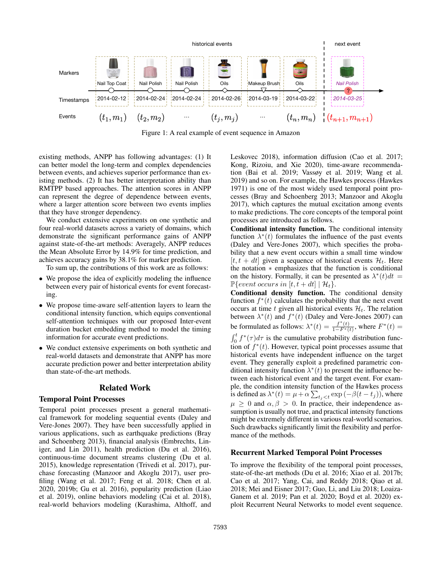

Figure 1: A real example of event sequence in Amazon

existing methods, ANPP has following advantages: (1) It can better model the long-term and complex dependencies between events, and achieves superior performance than existing methods. (2) It has better interpretation ability than RMTPP based approaches. The attention scores in ANPP can represent the degree of dependence between events, where a larger attention score between two events implies that they have stronger dependency.

We conduct extensive experiments on one synthetic and four real-world datasets across a variety of domains, which demonstrate the significant performance gains of ANPP against state-of-the-art methods: Averagely, ANPP reduces the Mean Absolute Error by 14.9% for time prediction, and achieves accuracy gains by 38.1% for marker prediction.

To sum up, the contributions of this work are as follows:

- We propose the idea of explicitly modeling the influence between every pair of historical events for event forecasting.
- We propose time-aware self-attention layers to learn the conditional intensity function, which equips conventional self-attention techniques with our proposed Inter-event duration bucket embedding method to model the timing information for accurate event predictions.
- We conduct extensive experiments on both synthetic and real-world datasets and demonstrate that ANPP has more accurate prediction power and better interpretation ability than state-of-the-art methods.

### Related Work

#### Temporal Point Processes

Temporal point processes present a general mathematical framework for modeling sequential events (Daley and Vere-Jones 2007). They have been successfully applied in various applications, such as earthquake predictions (Bray and Schoenberg 2013), financial analysis (Embrechts, Liniger, and Lin 2011), health prediction (Du et al. 2016), continuous-time document streams clustering (Du et al. 2015), knowledge representation (Trivedi et al. 2017), purchase forecasting (Manzoor and Akoglu 2017), user profiling (Wang et al. 2017; Feng et al. 2018; Chen et al. 2020, 2019b; Gu et al. 2016), popularity prediction (Liao et al. 2019), online behaviors modeling (Cai et al. 2018), real-world behaviors modeling (Kurashima, Althoff, and Leskovec 2018), information diffusion (Cao et al. 2017; Kong, Rizoiu, and Xie 2020), time-aware recommendation (Bai et al. 2019; Vassøy et al. 2019; Wang et al. 2019) and so on. For example, the Hawkes process (Hawkes 1971) is one of the most widely used temporal point processes (Bray and Schoenberg 2013; Manzoor and Akoglu 2017), which captures the mutual excitation among events to make predictions. The core concepts of the temporal point processes are introduced as follows.

Conditional intensity function. The conditional intensity function  $\lambda^*(t)$  formulates the influence of the past events (Daley and Vere-Jones 2007), which specifies the probability that a new event occurs within a small time window  $[t, t + dt]$  given a sequence of historical events  $\mathcal{H}_t$ . Here the notation ∗ emphasizes that the function is conditional on the history. Formally, it can be presented as  $\lambda^*(t)dt =$  $\mathbb{P}\{event occurs in [t, t + dt] | \mathcal{H}_t\}.$ 

Conditional density function. The conditional density function  $f^*(t)$  calculates the probability that the next event occurs at time t given all historical events  $\mathcal{H}_t$ . The relation between  $\lambda^*(t)$  and  $f^*(t)$  (Daley and Vere-Jones 2007) can be formulated as follows:  $\lambda^*(t) = \frac{f^*(t)}{1 - F^*(t)}$ , where  $F^*(t) =$  $\int_0^t f^*(\tau) d\tau$  is the cumulative probability distribution function of  $f^*(t)$ . However, typical point processes assume that historical events have independent influence on the target event. They generally exploit a predefined parametric conditional intensity function  $\lambda^*(t)$  to present the influence between each historical event and the target event. For example, the condition intensity function of the Hawkes process is defined as  $\lambda^*(t) = \mu + \alpha \sum_{t_j < t} \exp(-\beta(t - t_j))$ , where  $\mu \geq 0$  and  $\alpha, \beta > 0$ . In practice, their independence assumption is usually not true, and practical intensity functions might be extremely different in various real-world scenarios. Such drawbacks significantly limit the flexibility and performance of the methods.

## Recurrent Marked Temporal Point Processes

To improve the flexibility of the temporal point processes, state-of-the-art methods (Du et al. 2016; Xiao et al. 2017b; Cao et al. 2017; Yang, Cai, and Reddy 2018; Qiao et al. 2018; Mei and Eisner 2017; Guo, Li, and Liu 2018; Loaiza-Ganem et al. 2019; Pan et al. 2020; Boyd et al. 2020) exploit Recurrent Neural Networks to model event sequence.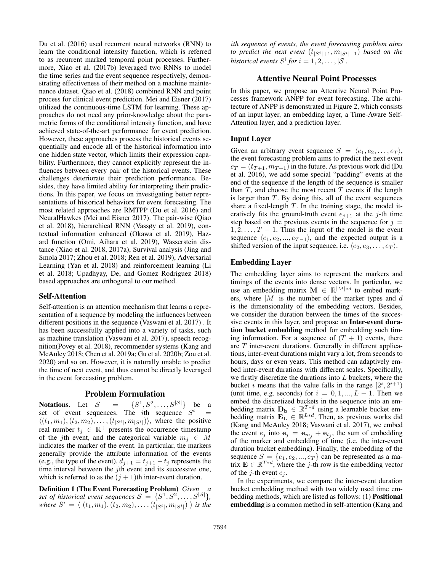Du et al. (2016) used recurrent neural networks (RNN) to learn the conditional intensity function, which is referred to as recurrent marked temporal point processes. Furthermore, Xiao et al. (2017b) leveraged two RNNs to model the time series and the event sequence respectively, demonstrating effectiveness of their method on a machine maintenance dataset. Qiao et al. (2018) combined RNN and point process for clinical event prediction. Mei and Eisner (2017) utilized the continuous-time LSTM for learning. These approaches do not need any prior-knowledge about the parametric forms of the conditional intensity function, and have achieved state-of-the-art performance for event prediction. However, these approaches process the historical events sequentially and encode all of the historical information into one hidden state vector, which limits their expression capability. Furthermore, they cannot explicitly represent the influences between every pair of the historical events. These challenges deteriorate their prediction performance. Besides, they have limited ability for interpreting their predictions. In this paper, we focus on investigating better representations of historical behaviors for event forecasting. The most related approaches are RMTPP (Du et al. 2016) and NeuralHawkes (Mei and Eisner 2017). The pair-wise (Qiao et al. 2018), hierarchical RNN (Vassøy et al. 2019), contextual information enhanced (Okawa et al. 2019), Hazard function (Omi, Aihara et al. 2019), Wasserstein distance (Xiao et al. 2018, 2017a), Survival analysis (Jing and Smola 2017; Zhou et al. 2018; Ren et al. 2019), Adversarial Learning (Yan et al. 2018) and reinforcement learning (Li et al. 2018; Upadhyay, De, and Gomez Rodriguez 2018) based approaches are orthogonal to our method.

### Self-Attention

Self-attention is an attention mechanism that learns a representation of a sequence by modeling the influences between different positions in the sequence (Vaswani et al. 2017) . It has been successfully applied into a variety of tasks, such as machine translation (Vaswani et al. 2017), speech recognition(Povey et al. 2018), recommender systems (Kang and McAuley 2018; Chen et al. 2019a; Gu et al. 2020b; Zou et al. 2020) and so on. However, it is naturally unable to predict the time of next event, and thus cannot be directly leveraged in the event forecasting problem.

#### Problem Formulation

Notations. Let  $S = \{S^1, S^2, \dots, S^{|\mathcal{S}|}\}\$  be a set of event sequences. The *i*th sequence  $S^i$  =  $\langle (t_1, m_1), (t_2, m_2), \ldots, (t_{|S^i|}, m_{|S^i|}) \rangle$ , where the positive real number  $t_j \in \mathbb{R}^+$  presents the occurrence timestamp of the jth event, and the categorical variable  $m_i \in \overline{M}$ indicates the marker of the event. In particular, the markers generally provide the attribute information of the events (e.g., the type of the event).  $d_{j+1} = t_{j+1} - t_j$  represents the time interval between the *j*th event and its successive one, which is referred to as the  $(j + 1)$ th inter-event duration.

Definition 1 (The Event Forecasting Problem) *Given a* set of historical event sequences  $S = \{S^1, S^2, \ldots, S^{|\mathcal{S}|}\},\$ where  $S^i = \langle (t_1, m_1), (t_2, m_2), \dots, (t_{|S^i|}, m_{|S^i|}) \rangle$  is the

i*th sequence of events, the event forecasting problem aims to predict the next event*  $(t_{|S^{i}|+1}, m_{|S^{i}|+1})$  *based on the historical events*  $S^i$  *for*  $i = 1, 2, \ldots, |\mathcal{S}|$ *.* 

# Attentive Neural Point Processes

In this paper, we propose an Attentive Neural Point Processes framework ANPP for event forecasting. The architecture of ANPP is demonstrated in Figure 2, which consists of an input layer, an embedding layer, a Time-Aware Self-Attention layer, and a prediction layer.

### Input Layer

Given an arbitrary event sequence  $S = \langle e_1, e_2, \dots, e_T \rangle$ , the event forecasting problem aims to predict the next event  $e_T = (t_{T+1}, m_{T+1})$  in the future. As previous work did (Du et al. 2016), we add some special "padding" events at the end of the sequence if the length of the sequence is smaller than  $T$ , and choose the most recent  $T$  events if the length is larger than  $T$ . By doing this, all of the event sequences share a fixed-length  $T$ . In the training stage, the model iteratively fits the ground-truth event  $e_{i+1}$  at the j-th time step based on the previous events in the sequence for  $j =$  $1, 2, \ldots, T - 1$ . Thus the input of the model is the event sequence  $\langle e_1, e_2, ..., e_{T-1} \rangle$ , and the expected output is a shifted version of the input sequence, i.e.  $\langle e_2, e_3, \ldots, e_T \rangle$ .

### Embedding Layer

The embedding layer aims to represent the markers and timings of the events into dense vectors. In particular, we use an embedding matrix  $\mathbf{M} \in \mathbb{R}^{|M| \cdot d}$  to embed markers, where  $|M|$  is the number of the marker types and d is the dimensionality of the embedding vectors. Besides, we consider the duration between the times of the successive events in this layer, and propose an Inter-event duration bucket embedding method for embedding such timing information. For a sequence of  $(T + 1)$  events, there are  $T$  inter-event durations. Generally in different applications, inter-event durations might vary a lot, from seconds to hours, days or even years. This method can adaptively embed inter-event durations with different scales. Specifically, we firstly discretize the durations into  $L$  buckets, where the bucket i means that the value falls in the range  $[2^i, 2^{i+1})$ (unit time, e.g. seconds) for  $i = 0, 1, ..., L - 1$ . Then we embed the discretized buckets in the sequence into an embedding matrix  $\mathbf{D}_{\mathbf{b}} \in \mathbb{R}^{T*d}$  using a learnable bucket embedding matrix  $\mathbf{E}_{\mathbf{L}} \in \mathbb{R}^{L*d}$ . Then, as previous works did (Kang and McAuley 2018; Vaswani et al. 2017), we embed the event  $e_j$  into  $\mathbf{e}_j = \mathbf{e}_{m_j} + \mathbf{e}_{t_j}$ , the sum of embedding of the marker and embedding of time (i.e. the inter-event duration bucket embedding). Finally, the embedding of the sequence  $S = \{e_1, e_2, ..., e_T\}$  can be represented as a matrix  $\mathbf{E} \in \mathbb{R}^{T*d}$ , where the j-th row is the embedding vector of the *j*-th event  $e_j$ .

In the experiments, we compare the inter-event duration bucket embedding method with two widely used time embedding methods, which are listed as follows: (1) Positional embedding is a common method in self-attention (Kang and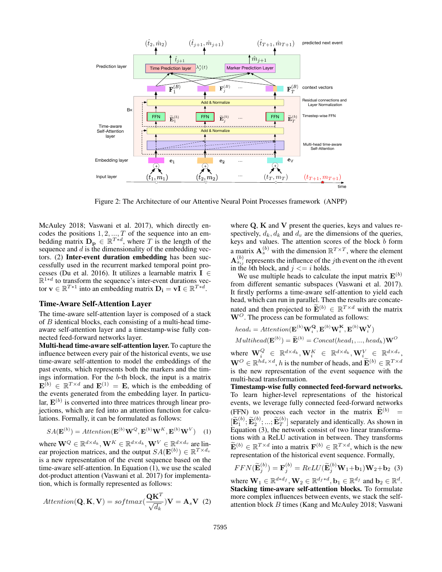

Figure 2: The Architecture of our Attentive Neural Point Processes framework (ANPP)

McAuley 2018; Vaswani et al. 2017), which directly encodes the positions  $1, 2, ..., T$  of the sequence into an embedding matrix  $D_p \in \mathbb{R}^{T*d}$ , where T is the length of the sequence and  $d$  is the dimensionality of the embedding vectors. (2) Inter-event duration embedding has been successfully used in the recurrent marked temporal point processes (Du et al. 2016). It utilizes a learnable matrix I ∈  $\mathbb{R}^{1*d}$  to transform the sequence's inter-event durations vector  $\mathbf{v} \in \mathbb{R}^{T*1}$  into an embedding matrix  $\mathbf{D_i} = \mathbf{vI} \in \mathbb{R}^{T*d}$ .

### Time-Aware Self-Attention Layer

The time-aware self-attention layer is composed of a stack of B identical blocks, each consisting of a multi-head timeaware self-attention layer and a timestamp-wise fully connected feed-forward networks layer.

Multi-head time-aware self-attention layer. To capture the influence between every pair of the historical events, we use time-aware self-attention to model the embeddings of the past events, which represents both the markers and the timings information. For the b-th block, the input is a matrix  $\mathbf{E}^{(b)} \in \mathbb{R}^{T \times d}$  and  $\mathbf{E}^{(1)} = \mathbf{E}$ , which is the embedding of the events generated from the embedding layer. In particular,  $\mathbf{E}^{(b)}$  is converted into three matrices through linear projections, which are fed into an attention function for calculations. Formally, it can be formulated as follows:

$$
SA(\mathbf{E}^{(b)}) = Attention(\mathbf{E}^{(b)}\mathbf{W}^{Q}, \mathbf{E}^{(b)}\mathbf{W}^{K}, \mathbf{E}^{(b)}\mathbf{W}^{V})
$$
 (1)

where  $\mathbf{W}^Q \in \mathbb{R}^{d \times d_k}, \mathbf{W}^K \in \mathbb{R}^{d \times d_k}, \mathbf{W}^V \in \mathbb{R}^{d \times d_v}$  are linear projection matrices, and the output  $SA(\mathbf{E}^{(b)}) \in \mathbb{R}^{T \times d_v}$ is a new representation of the event sequence based on the time-aware self-attention. In Equation (1), we use the scaled dot-product attention (Vaswani et al. 2017) for implementation, which is formally represented as follows:

$$
Attention(\mathbf{Q}, \mathbf{K}, \mathbf{V}) = softmax(\frac{\mathbf{QK}^T}{\sqrt{d_k}})\mathbf{V} = \mathbf{A}_s \mathbf{V} \tag{2}
$$

where  $Q$ ,  $K$  and  $V$  present the queries, keys and values respectively,  $d_k$ ,  $d_k$  and  $d_v$  are the dimensions of the queries, keys and values. The attention scores of the block  $\bar{b}$  form a matrix  $\mathbf{A}_s^{(b)}$  with the dimension  $\mathbb{R}^{T \times T}$ , where the element  ${\bf A}^{(b)}_{s_{ij}}$  represents the influence of the *j*th event on the *i*th event in the bth block, and  $j \leq i$  holds.

We use multiple heads to calculate the input matrix  $\mathbf{E}^{(b)}$ from different semantic subspaces (Vaswani et al. 2017). It firstly performs a time-aware self-attention to yield each head, which can run in parallel. Then the results are concatenated and then projected to  $\widetilde{\mathbf{E}}^{(b)} \in \mathbb{R}^{T \times d}$  with the matrix  $W^O$ . The process can be formulated as follows:

head<sub>i</sub> = 
$$
Attention(\mathbf{E}^{(b)} \mathbf{W}_i^{\mathbf{Q}}, \mathbf{E}^{(b)} \mathbf{W}_i^{\mathbf{K}}, \mathbf{E}^{(b)} \mathbf{W}_i^{\mathbf{V}})
$$
  
\n $Multhead(\mathbf{E}^{(b)}) = \widetilde{\mathbf{E}}^{(b)} = Concat(head_1, ..., head_h)\mathbf{W}^O$   
\n $\mathbf{W}^O = \mathbf{W}^A \mathbf{W}^A \mathbf{W}^B \mathbf{W}^A \mathbf{W}^B \mathbf{W}^C \mathbf{W}^A \mathbf{W}^C \mathbf{W}^A \mathbf{W}^C \mathbf{W}^A \mathbf{W}^C \mathbf{W}^A \mathbf{W}^C \mathbf{W}^A \mathbf{W}^C \mathbf{W}^A \mathbf{W}^C \mathbf{W}^C \mathbf{W}^C \mathbf{W}^C \mathbf{W}^C \mathbf{W}^C \mathbf{W}^C \mathbf{W}^C \mathbf{W}^C \mathbf{W}^C \mathbf{W}^C \mathbf{W}^C \mathbf{W}^C \mathbf{W}^C \mathbf{W}^C \mathbf{W}^C \mathbf{W}^C \mathbf{W}^C \mathbf{W}^C \mathbf{W}^C \mathbf{W}^C \mathbf{W}^C \mathbf{W}^C \mathbf{W}^C \mathbf{W}^C \mathbf{W}^C \mathbf{W}^C \mathbf{W}^C \mathbf{W}^C \mathbf{W}^C \mathbf{W}^C \mathbf{W}^C \mathbf{W}^C \mathbf{W}^C \mathbf{W}^C \mathbf{W}^C \mathbf{W}^C \mathbf{W}^C \mathbf{W}^C \mathbf{W}^C \mathbf{W}^C \mathbf{W}^C \mathbf{W}^C \mathbf{W}^C \mathbf{W}^C \mathbf{W}^C \mathbf{W}^C \mathbf{W}^C \mathbf{W}^C \mathbf{W}^C \mathbf{W}^C \mathbf{W}^C \mathbf{W}^C \mathbf{W}^C \mathbf{W}^C \mathbf{W}^C \mathbf{W}^C \mathbf{W}^C \mathbf{W}^C \mathbf$ 

where  $\mathbf{W}_i^Q$   $\in \mathbb{R}^{d \times d_k}, \mathbf{W}_i^K$   $\in \mathbb{R}^{d \times d_k}, \mathbf{W}_i^V$   $\in \mathbb{R}^{d \times d_v},$  $\mathbf{W}^O \in \mathbb{R}^{hd_v \times d}$ , h is the number of heads, and  $\widetilde{\mathbf{E}}^{(b)} \in \mathbb{R}^{T \times d}$ is the new representation of the event sequence with the multi-head transformation.

Timestamp-wise fully connected feed-forward networks. To learn higher-level representations of the historical events, we leverage fully connected feed-forward networks (FFN) to process each vector in the matrix  $\widetilde{\mathbf{E}}^{(b)}$  $[\widetilde{\mathbf{E}}_1^{(b)}; \widetilde{\mathbf{E}}_2^{(b)}; ...; \widetilde{\mathbf{E}}_T^{(b)}]$  separately and identically. As shown in Equation  $(3)$ , the network consist of two linear transformations with a ReLU activation in between. They transforms  $\widetilde{\mathbf{E}}^{(b)} \in \mathbb{R}^{T \times d}$  into a matrix  $\mathbf{F}^{(b)} \in \mathbb{R}^{T \times d}$ , which is the new representation of the historical event sequence. Formally,

$$
FFN(\widetilde{\mathbf{E}}_j^{(b)}) = \mathbf{F}_j^{(b)} = ReLU(\widetilde{\mathbf{E}}_j^{(b)}\mathbf{W}_1 + \mathbf{b}_1)\mathbf{W}_2 + \mathbf{b}_2
$$
 (3)

where  $\mathbf{W}_1 \in \mathbb{R}^{d*d_f}$ ,  $\mathbf{W}_2 \in \mathbb{R}^{d_f*d}$ ,  $\mathbf{b}_1 \in \mathbb{R}^{d_f}$  and  $\mathbf{b}_2 \in \mathbb{R}^d$ . Stacking time-aware self-attention blocks. To formulate more complex influences between events, we stack the selfattention block B times (Kang and McAuley 2018; Vaswani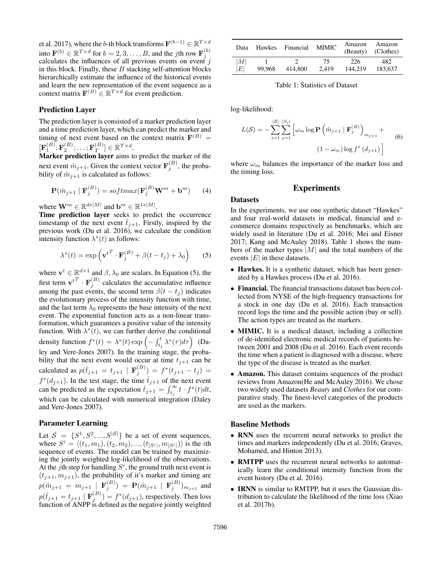et al. 2017), where the  $b$ -th block transforms  $\mathbf{F}^{(b-1)}\in \mathbb{R}^{T \times d}$ into  $\mathbf{F}^{(b)} \in \mathbb{R}^{T \times d}$  for  $b = 2, 3, \dots, B$ , and the *j*th row  $\mathbf{F}_j^{(b)}$ calculates the influences of all previous events on event  $i$ in this block. Finally, these  $B$  stacking self-attention blocks hierarchically estimate the influence of the historical events and learn the new representation of the event sequence as a context matrix  $\mathbf{F}^{(B)} \in \mathbb{R}^{T \times d}$  for event prediction.

### Prediction Layer

The prediction layer is consisted of a marker prediction layer and a time prediction layer, which can predict the marker and timing of next event based on the context matrix  $\mathbf{F}^{(B)}$  =  $[\mathbf{F}_1^{(B)};\mathbf{F}_2^{(B)};\ldots;\mathbf{F}_T^{(B)}]$  $\left[\begin{matrix} (B) \\ T \end{matrix}\right] \in \mathbb{R}^{T \times d}.$ 

Marker prediction layer aims to predict the marker of the next event  $\hat{m}_{j+1}$ . Given the context vector  $\mathbf{F}_j^{(B)}$ , the probability of  $\hat{m}_{j+1}$  is calculated as follows:

$$
\mathbf{P}(\hat{m}_{j+1} | \mathbf{F}_j^{(B)}) = softmax(\mathbf{F}_j^{(B)} \mathbf{W}^m + \mathbf{b}^m)
$$
 (4)

where  $\mathbf{W}^m \in \mathbb{R}^{d*|M|}$  and  $\mathbf{b}^m \in \mathbb{R}^{1*|M|}$ .

Time prediction layer seeks to predict the occurrence timestamp of the next event  $t_{i+1}$ . Firstly, inspired by the previous work (Du et al. 2016), we calculate the condition intensity function  $\lambda^*(t)$  as follows:

$$
\lambda^*(t) = \exp\left(\mathbf{v}^{t^T} \cdot \mathbf{F}_j^{(B)} + \beta(t - t_j) + \lambda_0\right)
$$
 (5)

where  $\mathbf{v}^t \in \mathbb{R}^{d \times 1}$  and  $\beta$ ,  $\lambda_0$  are scalars. In Equation (5), the first term  ${\bf v}^{tT} \cdot {\bf F}_j^{(B)}$  calculates the accumulative influence among the past events, the second term  $\beta(t - t_i)$  indicates the evolutionary process of the intensity function with time, and the last term  $\lambda_0$  represents the base intensity of the next event. The exponential function acts as a non-linear transformation, which guarantees a positive value of the intensity function. With  $\lambda^*(t)$ , we can further derive the conditional density function  $f^*(t) = \lambda^*(t) \exp\left(-\int_{t_j}^t \lambda^*(\tau) d\tau\right)$  (Daley and Vere-Jones 2007). In the training stage, the probability that the next event would occur at time  $t_{j+1}$  can be calculated as  $p(\hat{t}_{j+1} = t_{j+1} | \mathbf{F}_j^{(B)}) = f^*(t_{j+1} - t_j) =$  $f^*(d_{j+1})$ . In the test stage, the time  $\hat{t}_{j+1}$  of the next event can be predicted as the expectation  $\hat{t}_{j+1} = \int_{t_j}^{\infty} t \cdot f^*(t) dt$ , which can be calculated with numerical integration (Daley and Vere-Jones 2007).

### Parameter Learning

Let  $S = \{S^1, S^2, ..., S^{|\mathcal{S}|}\}\$ be a set of event sequences, where  $S^i = \langle (t_1, m_1), (t_2, m_2), ..., (t_{|S^i|}, m_{|S^i|}) \rangle$  is the *i*th sequence of events. The model can be trained by maximizing the jointly weighted log-likelihood of the observations. At the jth step for handling  $S^i$ , the ground truth next event is  $(t_{j+1}, m_{j+1})$ , the probability of it's marker and timing are  $p(\hat{m}_{j+1} = m_{j+1} | \mathbf{F}_j^{(B)}) = \mathbf{P}(\hat{m}_{j+1} | \mathbf{F}_j^{(B)})_{m_{j+1}}$  and  $p(\hat{t}_{j+1} = t_{j+1} | \mathbf{F}_j^{(B)}) = f^*(d_{j+1})$ , respectively. Then loss function of ANPP is defined as the negative jointly weighted

| Data                   | Hawkes | Financial | <b>MIMIC</b> | Amazon<br>(Beauty) | Amazon<br>(Clothes) |
|------------------------|--------|-----------|--------------|--------------------|---------------------|
| M <br>$\left E\right $ | 99.968 | 414,800   | 75.<br>2.419 | 226<br>144.219     | 482.<br>183.637     |

Table 1: Statistics of Dataset

log-likelihood:

$$
L(S) = -\sum_{i=1}^{|S|} \sum_{j=1}^{|S_i|} \left[ \omega_m \log \mathbf{P} \left( \hat{m}_{j+1} \mid \mathbf{F}_j^{(B)} \right)_{m_{j+1}} + \right]
$$
  

$$
(1 - \omega_m) \log f^*(d_{j+1}) \right]
$$
(6)

where  $\omega_m$  balances the importance of the marker loss and the timing loss.

# Experiments

#### **Datasets**

In the experiments, we use one synthetic dataset "Hawkes" and four real-world datasets in medical, financial and ecommerce domains respectively as benchmarks, which are widely used in literature (Du et al. 2016; Mei and Eisner 2017; Kang and McAuley 2018). Table 1 shows the numbers of the marker types  $|M|$  and the total numbers of the events  $|E|$  in these datasets.

- Hawkes. It is a synthetic dataset, which has been generated by a Hawkes process (Du et al. 2016).
- Financial. The financial transactions dataset has been collected from NYSE of the high-frequency transactions for a stock in one day (Du et al. 2016). Each transaction record logs the time and the possible action (buy or sell). The action types are treated as the markers.
- **MIMIC.** It is a medical dataset, including a collection of de-identified electronic medical records of patients between 2001 and 2008 (Du et al. 2016). Each event records the time when a patient is diagnosed with a disease, where the type of the disease is treated as the marker.
- Amazon. This dataset contains sequences of the product reviews from Amazon(He and McAuley 2016). We chose two widely used datasets *Beauty* and *Clothes* for our comparative study. The finest-level categories of the products are used as the markers.

### Baseline Methods

- RNN uses the recurrent neural networks to predict the times and markers independently (Du et al. 2016; Graves, Mohamed, and Hinton 2013).
- RMTPP uses the recurrent neural networks to automatically learn the conditional intensity function from the event history (Du et al. 2016).
- IRNN is similar to RMTPP, but it uses the Gaussian distribution to calculate the likelihood of the time loss (Xiao et al. 2017b).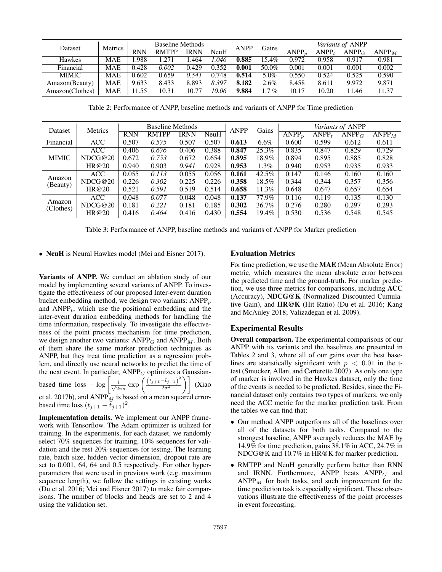| Dataset         | Metrics    | <b>Baseline Methods</b> |              |       | <b>ANPP</b> | Gains | Variants of ANPP |                   |       |                   |                   |
|-----------------|------------|-------------------------|--------------|-------|-------------|-------|------------------|-------------------|-------|-------------------|-------------------|
|                 |            | <b>RNN</b>              | <b>RMTPP</b> | IRNN  | <b>NeuH</b> |       |                  | ANPP <sub>n</sub> | ANPP. | ANPP <sub>G</sub> | ANDP <sub>M</sub> |
| <b>Hawkes</b>   | MAE        | .988                    | .271         | .464  | .046        | 0.885 | $15.4\%$         | 0.972             | 0.958 | 0.917             | 0.981             |
| Financial       | <b>MAE</b> | 0.428                   | 0.002        | 0.429 | 0.352       | 0.001 | 50.0%            | 0.001             | 0.001 | 0.001             | 0.002             |
| <b>MIMIC</b>    | <b>MAE</b> | 0.602                   | 0.659        | 0.541 | 0.748       | 0.514 | 5.0%             | 0.550             | 0.524 | 0.525             | 0.590             |
| Amazon(Beauty)  | <b>MAE</b> | 9.633                   | 8.433        | 8.893 | 8.397       | 8.182 | 2.6%             | 8.458             | 8.611 | 9.972             | 9.871             |
| Amazon(Clothes) | MAE        | 11.55                   | 10.31        | 10.77 | 10.06       | 9.884 | 7%               | 10.17             | 10.20 | 11.46             | 11.37             |

Table 2: Performance of ANPP, baseline methods and variants of ANPP for Time prediction

| Dataset             | Metrics    | <b>Baseline Methods</b> |              |             | <b>ANPP</b> | Gains | Variants of ANPP |                              |          |          |                   |
|---------------------|------------|-------------------------|--------------|-------------|-------------|-------|------------------|------------------------------|----------|----------|-------------------|
|                     |            | <b>RNN</b>              | <b>RMTPP</b> | <b>IRNN</b> | NeuH        |       |                  | $\overline{\mathrm{ANPP}_p}$ | $ANDP_t$ | $ANPP_G$ | ANDP <sub>M</sub> |
| Financial           | <b>ACC</b> | 0.507                   | 0.575        | 0.507       | 0.507       | 0.613 | $6.6\%$          | 0.600                        | 0.599    | 0.612    | 0.611             |
| <b>MIMIC</b>        | <b>ACC</b> | 0.406                   | 0.676        | 0.406       | 0.388       | 0.847 | 25.3%            | 0.835                        | 0.847    | 0.829    | 0.729             |
|                     | NDCG@20    | 0.672                   | 0.753        | 0.672       | 0.654       | 0.895 | 18.9%            | 0.894                        | 0.895    | 0.885    | 0.828             |
|                     | HR@20      | 0.940                   | 0.903        | 0.941       | 0.928       | 0.953 | $1.3\%$          | 0.940                        | 0.953    | 0.935    | 0.933             |
| Amazon<br>(Beauty)  | <b>ACC</b> | 0.055                   | 0.113        | 0.055       | 0.056       | 0.161 | 42.5%            | 0.147                        | 0.146    | 0.160    | 0.160             |
|                     | NDCG@20    | 0.226                   | 0.302        | 0.225       | 0.226       | 0.358 | 18.5%            | 0.344                        | 0.344    | 0.357    | 0.356             |
|                     | HR@20      | 0.521                   | 0.591        | 0.519       | 0.514       | 0.658 | 11.3%            | 0.648                        | 0.647    | 0.657    | 0.654             |
| Amazon<br>(Clothes) | <b>ACC</b> | 0.048                   | 0.077        | 0.048       | 0.048       | 0.137 | 77.9%            | 0.116                        | 0.119    | 0.135    | 0.130             |
|                     | NDCG@20    | 0.181                   | 0.221        | 0.181       | 0.185       | 0.302 | 36.7%            | 0.276                        | 0.280    | 0.297    | 0.293             |
|                     | HR@20      | 0.416                   | 0.464        | 0.416       | 0.430       | 0.554 | 19.4%            | 0.530                        | 0.536    | 0.548    | 0.545             |

Table 3: Performance of ANPP, baseline methods and variants of ANPP for Marker prediction

• NeuH is Neural Hawkes model (Mei and Eisner 2017).

Variants of ANPP. We conduct an ablation study of our model by implementing several variants of ANPP. To investigate the effectiveness of our proposed Inter-event duration bucket embedding method, we design two variants:  $ANPP<sub>p</sub>$ and  $ANDP_t$ , which use the positional embedding and the inter-event duration embedding methods for handling the time information, respectively. To investigate the effectiveness of the point process mechanism for time prediction, we design another two variants:  $ANPP<sub>G</sub>$  and  $ANPP<sub>M</sub>$ . Both of them share the same marker prediction techniques as ANPP, but they treat time prediction as a regression problem, and directly use neural networks to predict the time of the next event. In particular,  $ANPP<sub>G</sub>$  optimizes a Gaussianbased time loss  $-\log \left( \frac{1}{\sqrt{2}} \right)$  $rac{1}{2\pi\sigma}$  exp  $\left(\frac{(t_{j+1}-\hat{t}_{j+1})^2}{-2\sigma^2}\right)$  $\left(\frac{1-\hat{t}_{j+1}}{-2\sigma^2}\right)$  (Xiao et al. 2017b), and  $\mathrm{ANPP}_M$  is based on a mean squared errorbased time loss  $(t_{j+1} - \hat{t}_{j+1})^2$ .

Implementation details. We implement our ANPP framework with Tensorflow. The Adam optimizer is utilized for training. In the experiments, for each dataset, we randomly select 70% sequences for training, 10% sequences for validation and the rest 20% sequences for testing. The learning rate, batch size, hidden vector dimension, dropout rate are set to 0.001, 64, 64 and 0.5 respectively. For other hyperparameters that were used in previous work (e.g. maximum sequence length), we follow the settings in existing works (Du et al. 2016; Mei and Eisner 2017) to make fair comparisons. The number of blocks and heads are set to 2 and 4 using the validation set.

### Evaluation Metrics

For time prediction, we use the MAE (Mean Absolute Error) metric, which measures the mean absolute error between the predicted time and the ground-truth. For marker prediction, we use three metrics for comparisons, including ACC (Accuracy), NDCG@K (Normalized Discounted Cumulative Gain), and HR@K (Hit Ratio) (Du et al. 2016; Kang and McAuley 2018; Valizadegan et al. 2009).

#### Experimental Results

Overall comparison. The experimental comparisons of our ANPP with its variants and the baselines are presented in Tables 2 and 3, where all of our gains over the best baselines are statistically significant with  $p < 0.01$  in the ttest (Smucker, Allan, and Carterette 2007). As only one type of marker is involved in the Hawkes dataset, only the time of the events is needed to be predicted. Besides, since the Financial dataset only contains two types of markers, we only need the ACC metric for the marker prediction task. From the tables we can find that:

- Our method ANPP outperforms all of the baselines over all of the datasets for both tasks. Compared to the strongest baseline, ANPP averagely reduces the MAE by 14.9% for time prediction, gains 38.1% in ACC, 24.7% in NDCG@K and 10.7% in HR@K for marker prediction.
- RMTPP and NeuH generally perform better than RNN and IRNN. Furthermore, ANPP beats  $ANPP<sub>G</sub>$  and  $ANDP<sub>M</sub>$  for both tasks, and such improvement for the time prediction task is especially significant. These observations illustrate the effectiveness of the point processes in event forecasting.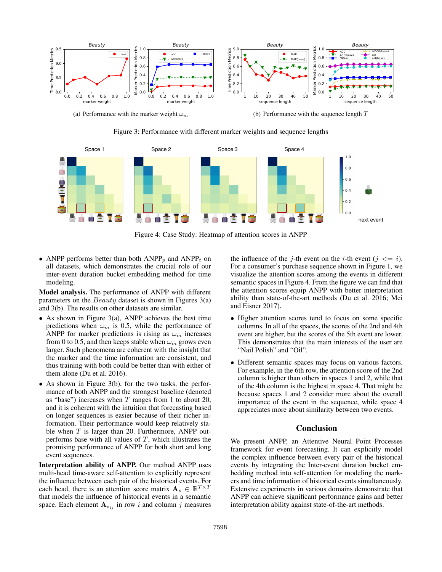

(a) Performance with the marker weight  $\omega_m$ 

(b) Performance with the sequence length  $T$ 

Figure 3: Performance with different marker weights and sequence lengths



Figure 4: Case Study: Heatmap of attention scores in ANPP

• ANPP performs better than both  $ANPP_p$  and  $ANPP_t$  on all datasets, which demonstrates the crucial role of our inter-event duration bucket embedding method for time modeling.

Model analysis. The performance of ANPP with different parameters on the *Beauty* dataset is shown in Figures  $3(a)$ and 3(b). The results on other datasets are similar.

- As shown in Figure 3(a), ANPP achieves the best time predictions when  $\omega_m$  is 0.5, while the performance of ANPP for marker predictions is rising as  $\omega_m$  increases from 0 to 0.5, and then keeps stable when  $\omega_m$  grows even larger. Such phenomena are coherent with the insight that the marker and the time information are consistent, and thus training with both could be better than with either of them alone (Du et al. 2016).
- As shown in Figure 3(b), for the two tasks, the performance of both ANPP and the strongest baseline (denoted as "base") increases when  $T$  ranges from 1 to about 20, and it is coherent with the intuition that forecasting based on longer sequences is easier because of their richer information. Their performance would keep relatively stable when  $T$  is larger than 20. Furthermore, ANPP outperforms base with all values of  $T$ , which illustrates the promising performance of ANPP for both short and long event sequences.

Interpretation ability of ANPP. Our method ANPP uses multi-head time-aware self-attention to explicitly represent the influence between each pair of the historical events. For each head, there is an attention score matrix  $\mathbf{A}_s \in \mathbb{R}^{T \times T}$ that models the influence of historical events in a semantic space. Each element  $A_{s_{ij}}$  in row i and column j measures

the influence of the j-th event on the *i*-th event ( $j \leq i$ ). For a consumer's purchase sequence shown in Figure 1, we visualize the attention scores among the events in different semantic spaces in Figure 4. From the figure we can find that the attention scores equip ANPP with better interpretation ability than state-of-the-art methods (Du et al. 2016; Mei and Eisner 2017).

- Higher attention scores tend to focus on some specific columns. In all of the spaces, the scores of the 2nd and 4th event are higher, but the scores of the 5th event are lower. This demonstrates that the main interests of the user are "Nail Polish" and "Oil".
- Different semantic spaces may focus on various factors. For example, in the 6th row, the attention score of the 2nd column is higher than others in spaces 1 and 2, while that of the 4th column is the highest in space 4. That might be because spaces 1 and 2 consider more about the overall importance of the event in the sequence, while space 4 appreciates more about similarity between two events.

# Conclusion

We present ANPP, an Attentive Neural Point Processes framework for event forecasting. It can explicitly model the complex influence between every pair of the historical events by integrating the Inter-event duration bucket embedding method into self-attention for modeling the markers and time information of historical events simultaneously. Extensive experiments in various domains demonstrate that ANPP can achieve significant performance gains and better interpretation ability against state-of-the-art methods.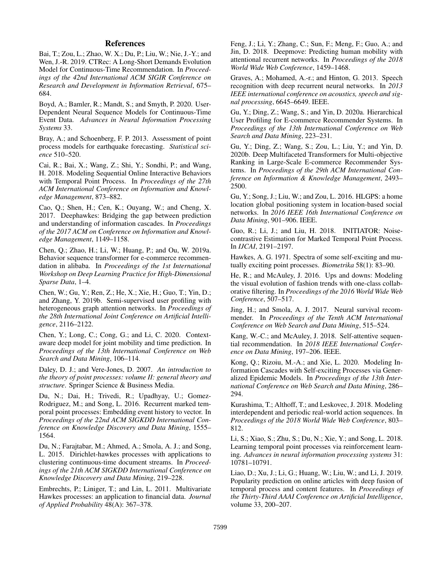### References

Bai, T.; Zou, L.; Zhao, W. X.; Du, P.; Liu, W.; Nie, J.-Y.; and Wen, J.-R. 2019. CTRec: A Long-Short Demands Evolution Model for Continuous-Time Recommendation. In *Proceedings of the 42nd International ACM SIGIR Conference on Research and Development in Information Retrieval*, 675– 684.

Boyd, A.; Bamler, R.; Mandt, S.; and Smyth, P. 2020. User-Dependent Neural Sequence Models for Continuous-Time Event Data. *Advances in Neural Information Processing Systems* 33.

Bray, A.; and Schoenberg, F. P. 2013. Assessment of point process models for earthquake forecasting. *Statistical science* 510–520.

Cai, R.; Bai, X.; Wang, Z.; Shi, Y.; Sondhi, P.; and Wang, H. 2018. Modeling Sequential Online Interactive Behaviors with Temporal Point Process. In *Proceedings of the 27th ACM International Conference on Information and Knowledge Management*, 873–882.

Cao, Q.; Shen, H.; Cen, K.; Ouyang, W.; and Cheng, X. 2017. Deephawkes: Bridging the gap between prediction and understanding of information cascades. In *Proceedings of the 2017 ACM on Conference on Information and Knowledge Management*, 1149–1158.

Chen, Q.; Zhao, H.; Li, W.; Huang, P.; and Ou, W. 2019a. Behavior sequence transformer for e-commerce recommendation in alibaba. In *Proceedings of the 1st International Workshop on Deep Learning Practice for High-Dimensional Sparse Data*, 1–4.

Chen, W.; Gu, Y.; Ren, Z.; He, X.; Xie, H.; Guo, T.; Yin, D.; and Zhang, Y. 2019b. Semi-supervised user profiling with heterogeneous graph attention networks. In *Proceedings of the 28th International Joint Conference on Artificial Intelligence*, 2116–2122.

Chen, Y.; Long, C.; Cong, G.; and Li, C. 2020. Contextaware deep model for joint mobility and time prediction. In *Proceedings of the 13th International Conference on Web Search and Data Mining*, 106–114.

Daley, D. J.; and Vere-Jones, D. 2007. *An introduction to the theory of point processes: volume II: general theory and structure*. Springer Science & Business Media.

Du, N.; Dai, H.; Trivedi, R.; Upadhyay, U.; Gomez-Rodriguez, M.; and Song, L. 2016. Recurrent marked temporal point processes: Embedding event history to vector. In *Proceedings of the 22nd ACM SIGKDD International Conference on Knowledge Discovery and Data Mining*, 1555– 1564.

Du, N.; Farajtabar, M.; Ahmed, A.; Smola, A. J.; and Song, L. 2015. Dirichlet-hawkes processes with applications to clustering continuous-time document streams. In *Proceedings of the 21th ACM SIGKDD International Conference on Knowledge Discovery and Data Mining*, 219–228.

Embrechts, P.; Liniger, T.; and Lin, L. 2011. Multivariate Hawkes processes: an application to financial data. *Journal of Applied Probability* 48(A): 367–378.

Feng, J.; Li, Y.; Zhang, C.; Sun, F.; Meng, F.; Guo, A.; and Jin, D. 2018. Deepmove: Predicting human mobility with attentional recurrent networks. In *Proceedings of the 2018 World Wide Web Conference*, 1459–1468.

Graves, A.; Mohamed, A.-r.; and Hinton, G. 2013. Speech recognition with deep recurrent neural networks. In *2013 IEEE international conference on acoustics, speech and signal processing*, 6645–6649. IEEE.

Gu, Y.; Ding, Z.; Wang, S.; and Yin, D. 2020a. Hierarchical User Profiling for E-commerce Recommender Systems. In *Proceedings of the 13th International Conference on Web Search and Data Mining*, 223–231.

Gu, Y.; Ding, Z.; Wang, S.; Zou, L.; Liu, Y.; and Yin, D. 2020b. Deep Multifaceted Transformers for Multi-objective Ranking in Large-Scale E-commerce Recommender Systems. In *Proceedings of the 29th ACM International Conference on Information & Knowledge Management*, 2493– 2500.

Gu, Y.; Song, J.; Liu, W.; and Zou, L. 2016. HLGPS: a home location global positioning system in location-based social networks. In *2016 IEEE 16th International Conference on Data Mining*, 901–906. IEEE.

Guo, R.; Li, J.; and Liu, H. 2018. INITIATOR: Noisecontrastive Estimation for Marked Temporal Point Process. In *IJCAI*, 2191–2197.

Hawkes, A. G. 1971. Spectra of some self-exciting and mutually exciting point processes. *Biometrika* 58(1): 83–90.

He, R.; and McAuley, J. 2016. Ups and downs: Modeling the visual evolution of fashion trends with one-class collaborative filtering. In *Proceedings of the 2016 World Wide Web Conference*, 507–517.

Jing, H.; and Smola, A. J. 2017. Neural survival recommender. In *Proceedings of the Tenth ACM International Conference on Web Search and Data Mining*, 515–524.

Kang, W.-C.; and McAuley, J. 2018. Self-attentive sequential recommendation. In *2018 IEEE International Conference on Data Mining*, 197–206. IEEE.

Kong, Q.; Rizoiu, M.-A.; and Xie, L. 2020. Modeling Information Cascades with Self-exciting Processes via Generalized Epidemic Models. In *Proceedings of the 13th International Conference on Web Search and Data Mining*, 286– 294.

Kurashima, T.; Althoff, T.; and Leskovec, J. 2018. Modeling interdependent and periodic real-world action sequences. In *Proceedings of the 2018 World Wide Web Conference*, 803– 812.

Li, S.; Xiao, S.; Zhu, S.; Du, N.; Xie, Y.; and Song, L. 2018. Learning temporal point processes via reinforcement learning. *Advances in neural information processing systems* 31: 10781–10791.

Liao, D.; Xu, J.; Li, G.; Huang, W.; Liu, W.; and Li, J. 2019. Popularity prediction on online articles with deep fusion of temporal process and content features. In *Proceedings of the Thirty-Third AAAI Conference on Artificial Intelligence*, volume 33, 200–207.